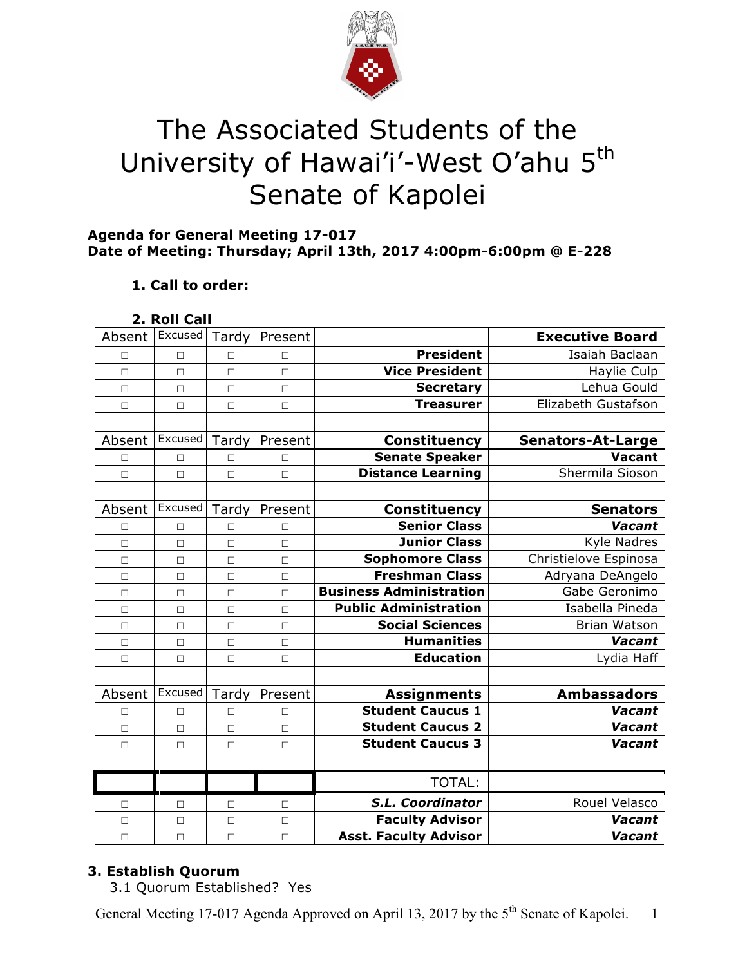

# The Associated Students of the University of Hawai'i'-West O'ahu 5<sup>th</sup> Senate of Kapolei

# **Agenda for General Meeting 17-017 Date of Meeting: Thursday; April 13th, 2017 4:00pm-6:00pm @ E-228**

# **1. Call to order:**

| 2. Roll Call |  |
|--------------|--|
|              |  |

| Absent | Excused | Tardy  | Present |                                | <b>Executive Board</b>   |
|--------|---------|--------|---------|--------------------------------|--------------------------|
| П      | $\Box$  | П      | $\Box$  | <b>President</b>               | Isaiah Baclaan           |
| $\Box$ | $\Box$  | $\Box$ | $\Box$  | <b>Vice President</b>          | Haylie Culp              |
| $\Box$ | П       | $\Box$ | $\Box$  | <b>Secretary</b>               | Lehua Gould              |
| $\Box$ | $\Box$  | $\Box$ | $\Box$  | <b>Treasurer</b>               | Elizabeth Gustafson      |
|        |         |        |         |                                |                          |
| Absent | Excused | Tardy  | Present | <b>Constituency</b>            | <b>Senators-At-Large</b> |
| □      | П       | П      | $\Box$  | <b>Senate Speaker</b>          | <b>Vacant</b>            |
| $\Box$ | $\Box$  | $\Box$ | $\Box$  | <b>Distance Learning</b>       | Shermila Sioson          |
|        |         |        |         |                                |                          |
| Absent | Excused | Tardy  | Present | Constituency                   | <b>Senators</b>          |
| $\Box$ | П       | П      | $\Box$  | <b>Senior Class</b>            | Vacant                   |
| $\Box$ | $\Box$  | $\Box$ | $\Box$  | <b>Junior Class</b>            | <b>Kyle Nadres</b>       |
| $\Box$ | $\Box$  | П      | $\Box$  | <b>Sophomore Class</b>         | Christielove Espinosa    |
| $\Box$ | $\Box$  | $\Box$ | $\Box$  | <b>Freshman Class</b>          | Adryana DeAngelo         |
| $\Box$ | $\Box$  | $\Box$ | $\Box$  | <b>Business Administration</b> | Gabe Geronimo            |
| П      | $\Box$  | $\Box$ | $\Box$  | <b>Public Administration</b>   | Isabella Pineda          |
| $\Box$ | $\Box$  | $\Box$ | $\Box$  | <b>Social Sciences</b>         | <b>Brian Watson</b>      |
| $\Box$ | $\Box$  | $\Box$ | $\Box$  | <b>Humanities</b>              | Vacant                   |
| $\Box$ | $\Box$  | $\Box$ | $\Box$  | <b>Education</b>               | Lydia Haff               |
|        |         |        |         |                                |                          |
| Absent | Excused | Tardy  | Present | <b>Assignments</b>             | <b>Ambassadors</b>       |
| $\Box$ | $\Box$  | П      | $\Box$  | <b>Student Caucus 1</b>        | Vacant                   |
| $\Box$ | $\Box$  | $\Box$ | $\Box$  | <b>Student Caucus 2</b>        | Vacant                   |
| $\Box$ | $\Box$  | $\Box$ | $\Box$  | <b>Student Caucus 3</b>        | Vacant                   |
|        |         |        |         |                                |                          |
|        |         |        |         | <b>TOTAL:</b>                  |                          |
| □      | □       | □      | $\Box$  | S.L. Coordinator               | Rouel Velasco            |
| $\Box$ | $\Box$  | $\Box$ | $\Box$  | <b>Faculty Advisor</b>         | Vacant                   |
| $\Box$ | $\Box$  | $\Box$ | $\Box$  | <b>Asst. Faculty Advisor</b>   | Vacant                   |

# **3. Establish Quorum**

3.1 Quorum Established? Yes

General Meeting 17-017 Agenda Approved on April 13, 2017 by the 5<sup>th</sup> Senate of Kapolei. 1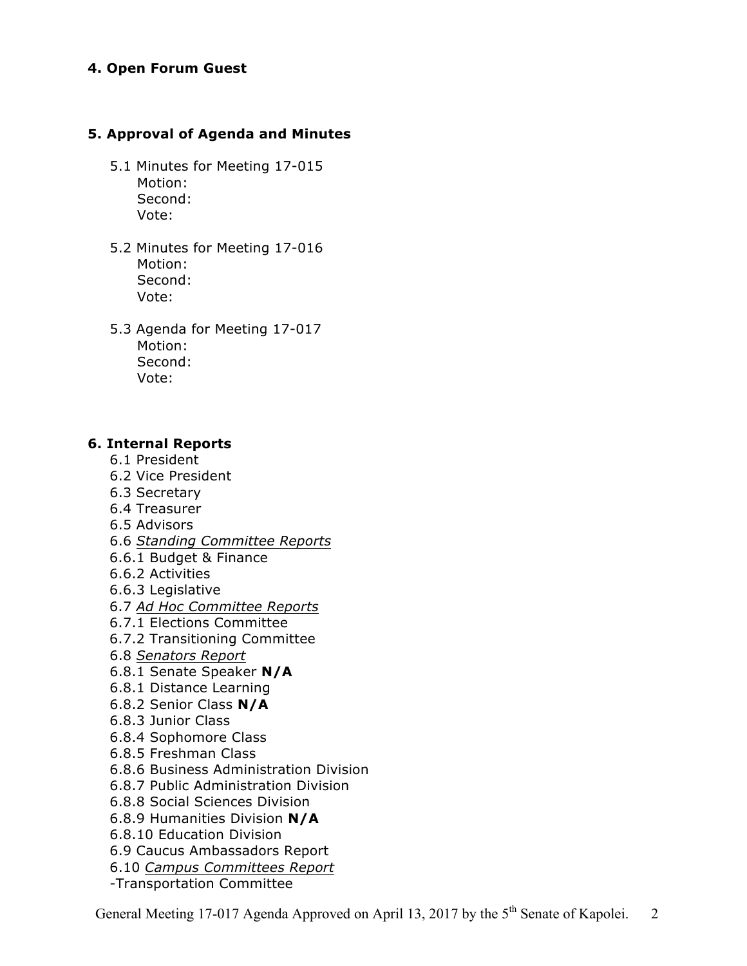#### **4. Open Forum Guest**

#### **5. Approval of Agenda and Minutes**

- 5.1 Minutes for Meeting 17-015 Motion: Second: Vote:
- 5.2 Minutes for Meeting 17-016 Motion: Second: Vote:
- 5.3 Agenda for Meeting 17-017 Motion: Second: Vote:

#### **6. Internal Reports**

- 6.1 President
- 6.2 Vice President
- 6.3 Secretary
- 6.4 Treasurer
- 6.5 Advisors
- 6.6 *Standing Committee Reports*
- 6.6.1 Budget & Finance
- 6.6.2 Activities
- 6.6.3 Legislative
- 6.7 *Ad Hoc Committee Reports*
- 6.7.1 Elections Committee
- 6.7.2 Transitioning Committee
- 6.8 *Senators Report*
- 6.8.1 Senate Speaker **N/A**
- 6.8.1 Distance Learning
- 6.8.2 Senior Class **N/A**
- 6.8.3 Junior Class
- 6.8.4 Sophomore Class
- 6.8.5 Freshman Class
- 6.8.6 Business Administration Division
- 6.8.7 Public Administration Division
- 6.8.8 Social Sciences Division
- 6.8.9 Humanities Division **N/A**
- 6.8.10 Education Division
- 6.9 Caucus Ambassadors Report
- 6.10 *Campus Committees Report*
- -Transportation Committee